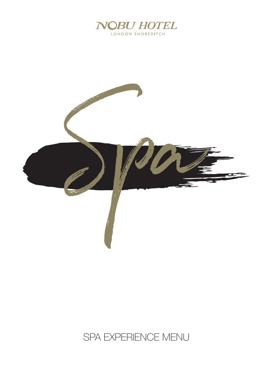



# SPA EXPERIENCE MENU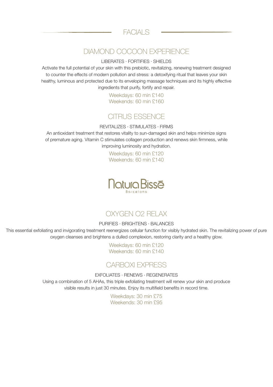# DIAMOND COCOON EXPERIENCE

#### LIBERATES · FORTIFIES · SHIELDS

Activate the full potential of your skin with this prebiotic, revitalizing, renewing treatment designed to counter the effects of modern pollution and stress: a detoxifying ritual that leaves your skin healthy, luminous and protected due to its enveloping massage techniques and its highly effective ingredients that purify, fortify and repair.

> Weekdays: 60 min £140 Weekends: 60 min £160

# CITRUS ESSENCE

REVITALIZES · STIMULATES · FIRMS

An antioxidant treatment that restores vitality to sun-damaged skin and helps minimize signs of premature aging. Vitamin C stimulates collagen production and renews skin firmness, while improving luminosity and hydration.

> Weekdays: 60 min £120 Weekends: 60 min £140



# OXYGEN O2 RELAX

#### PURIFIES · BRIGHTENS · BALANCES

This essential exfoliating and invigorating treatment reenergizes cellular function for visibly hydrated skin. The revitalizing power of pure oxygen cleanses and brightens a dulled complexion, restoring clarity and a healthy glow.

> Weekdays: 60 min £120 Weekends: 60 min £140

#### CARBOXI EXPRESS

EXFOLIATES · RENEWS · REGENERATES Using a combination of 5 AHAs, this triple exfoliating treatment will renew your skin and produce visible results in just 30 minutes. Enjoy its multifield benefits in record time.

> Weekdays: 30 min £75 Weekends: 30 min £95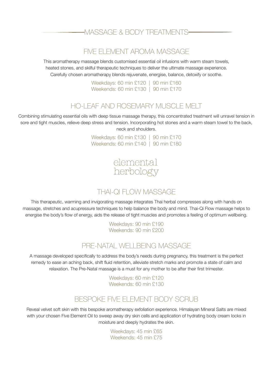# MASSAGE & BODY TREATMENTS

## FIVE ELEMENT AROMA MASSAGE

This aromatherapy massage blends customised essential oil infusions with warm steam towels, heated stones, and skilful therapeutic techniques to deliver the ultimate massage experience. Carefully chosen aromatherapy blends rejuvenate, energise, balance, detoxify or soothe.

> Weekdays: 60 min £120 | 90 min £160 Weekends: 60 min £130 | 90 min £170

# HO-I FAF AND ROSFMARY MUSCLE MELT

Combining stimulating essential oils with deep tissue massage therapy, this concentrated treatment will unravel tension in sore and tight muscles, relieve deep stress and tension. Incorporating hot stones and a warm steam towel to the back, neck and shoulders.

> Weekdays: 60 min £130 | 90 min £170 Weekends: 60 min £140 | 90 min £180

# elemental herbology

### THAI-QI FLOW MASSAGE

This therapeutic, warming and invigorating massage integrates Thai herbal compresses along with hands on massage, stretches and acupressure techniques to help balance the body and mind. Thai-Qi Flow massage helps to energise the body's flow of energy, aids the release of tight muscles and promotes a feeling of optimum wellbeing.

> Weekdays: 90 min £190 Weekends: 90 min £200

# PRE-NATAL WELL BEING MASSAGE

A massage developed specifically to address the body's needs during pregnancy, this treatment is the perfect remedy to ease an aching back, shift fluid retention, alleviate stretch marks and promote a state of calm and relaxation. The Pre-Natal massage is a must for any mother to be after their first trimester.

> Weekdays: 60 min £120 Weekends: 60 min £130

# BESPOKE FIVE ELEMENT BODY SCRUB

Reveal velvet soft skin with this bespoke aromatherapy exfoliation experience. Himalayan Mineral Salts are mixed with your chosen Five Element Oil to sweep away dry skin cells and application of hydrating body cream locks in moisture and deeply hydrates the skin.

> Weekdays: 45 min £65 Weekends: 45 min £75